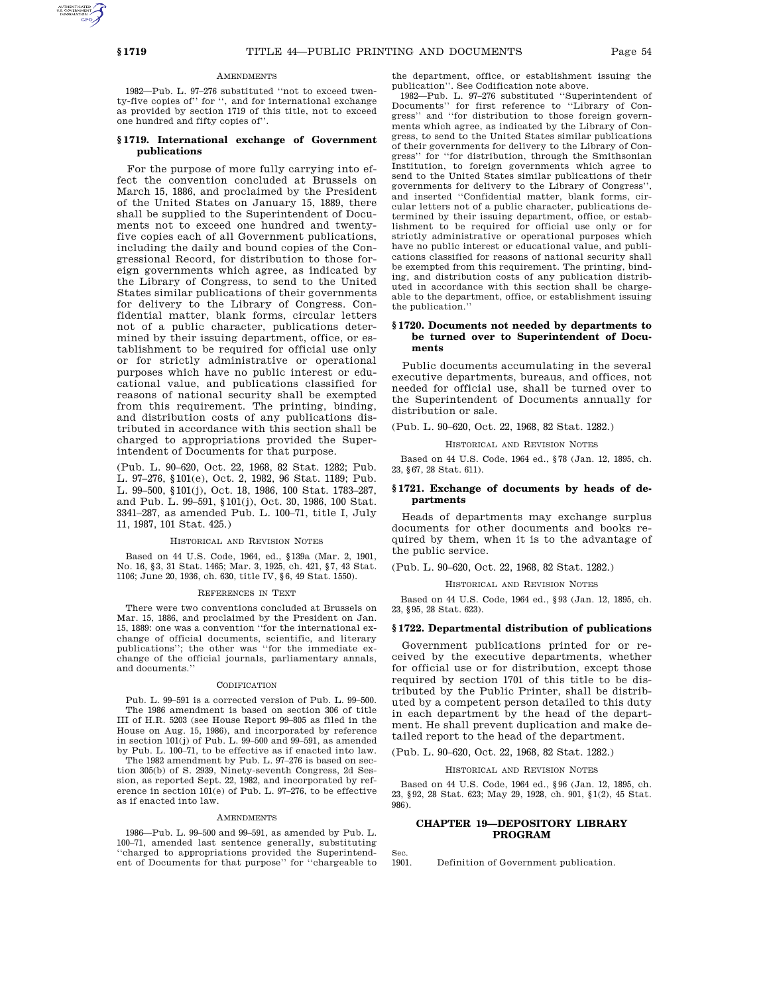## **AMENDMENTS**

1982—Pub. L. 97–276 substituted ''not to exceed twenty-five copies of'' for '', and for international exchange as provided by section 1719 of this title, not to exceed one hundred and fifty copies of''.

# **§ 1719. International exchange of Government publications**

For the purpose of more fully carrying into effect the convention concluded at Brussels on March 15, 1886, and proclaimed by the President of the United States on January 15, 1889, there shall be supplied to the Superintendent of Documents not to exceed one hundred and twentyfive copies each of all Government publications, including the daily and bound copies of the Congressional Record, for distribution to those foreign governments which agree, as indicated by the Library of Congress, to send to the United States similar publications of their governments for delivery to the Library of Congress. Confidential matter, blank forms, circular letters not of a public character, publications determined by their issuing department, office, or establishment to be required for official use only or for strictly administrative or operational purposes which have no public interest or educational value, and publications classified for reasons of national security shall be exempted from this requirement. The printing, binding, and distribution costs of any publications distributed in accordance with this section shall be charged to appropriations provided the Superintendent of Documents for that purpose.

(Pub. L. 90–620, Oct. 22, 1968, 82 Stat. 1282; Pub. L. 97–276, §101(e), Oct. 2, 1982, 96 Stat. 1189; Pub. L. 99–500, §101(j), Oct. 18, 1986, 100 Stat. 1783–287, and Pub. L. 99–591, §101(j), Oct. 30, 1986, 100 Stat. 3341–287, as amended Pub. L. 100–71, title I, July 11, 1987, 101 Stat. 425.)

#### HISTORICAL AND REVISION NOTES

Based on 44 U.S. Code, 1964, ed., §139a (Mar. 2, 1901, No. 16, §3, 31 Stat. 1465; Mar. 3, 1925, ch. 421, §7, 43 Stat. 1106; June 20, 1936, ch. 630, title IV, §6, 49 Stat. 1550).

## REFERENCES IN TEXT

There were two conventions concluded at Brussels on Mar. 15, 1886, and proclaimed by the President on Jan. 15, 1889: one was a convention ''for the international exchange of official documents, scientific, and literary publications''; the other was ''for the immediate exchange of the official journals, parliamentary annals, and documents.''

## CODIFICATION

Pub. L. 99–591 is a corrected version of Pub. L. 99–500. The 1986 amendment is based on section 306 of title III of H.R. 5203 (see House Report 99–805 as filed in the House on Aug. 15, 1986), and incorporated by reference in section 101(j) of Pub. L. 99–500 and 99–591, as amended by Pub. L. 100–71, to be effective as if enacted into law.

The 1982 amendment by Pub. L. 97–276 is based on section 305(b) of S. 2939, Ninety-seventh Congress, 2d Session, as reported Sept. 22, 1982, and incorporated by reference in section 101(e) of Pub. L. 97–276, to be effective as if enacted into law.

#### **AMENDMENTS**

1986—Pub. L. 99–500 and 99–591, as amended by Pub. L. 100–71, amended last sentence generally, substituting ''charged to appropriations provided the Superintendent of Documents for that purpose'' for ''chargeable to

the department, office, or establishment issuing the publication''. See Codification note above.

1982—Pub. L. 97–276 substituted ''Superintendent of Documents'' for first reference to ''Library of Congress'' and ''for distribution to those foreign governments which agree, as indicated by the Library of Congress, to send to the United States similar publications of their governments for delivery to the Library of Congress'' for ''for distribution, through the Smithsonian Institution, to foreign governments which agree to send to the United States similar publications of their governments for delivery to the Library of Congress'', and inserted ''Confidential matter, blank forms, circular letters not of a public character, publications determined by their issuing department, office, or establishment to be required for official use only or for strictly administrative or operational purposes which have no public interest or educational value, and publications classified for reasons of national security shall be exempted from this requirement. The printing, binding, and distribution costs of any publication distributed in accordance with this section shall be chargeable to the department, office, or establishment issuing the publication.

# **§ 1720. Documents not needed by departments to be turned over to Superintendent of Documents**

Public documents accumulating in the several executive departments, bureaus, and offices, not needed for official use, shall be turned over to the Superintendent of Documents annually for distribution or sale.

(Pub. L. 90–620, Oct. 22, 1968, 82 Stat. 1282.)

HISTORICAL AND REVISION NOTES

Based on 44 U.S. Code, 1964 ed., §78 (Jan. 12, 1895, ch. 23, §67, 28 Stat. 611).

# **§ 1721. Exchange of documents by heads of departments**

Heads of departments may exchange surplus documents for other documents and books required by them, when it is to the advantage of the public service.

(Pub. L. 90–620, Oct. 22, 1968, 82 Stat. 1282.)

HISTORICAL AND REVISION NOTES

Based on 44 U.S. Code, 1964 ed., §93 (Jan. 12, 1895, ch. 23, §95, 28 Stat. 623).

## **§ 1722. Departmental distribution of publications**

Government publications printed for or received by the executive departments, whether for official use or for distribution, except those required by section 1701 of this title to be distributed by the Public Printer, shall be distributed by a competent person detailed to this duty in each department by the head of the department. He shall prevent duplication and make detailed report to the head of the department.

(Pub. L. 90–620, Oct. 22, 1968, 82 Stat. 1282.)

HISTORICAL AND REVISION NOTES

Based on 44 U.S. Code, 1964 ed., §96 (Jan. 12, 1895, ch. 23, §92, 28 Stat. 623; May 29, 1928, ch. 901, §1(2), 45 Stat. 986).

# **CHAPTER 19—DEPOSITORY LIBRARY PROGRAM**

Sec.

1901. Definition of Government publication.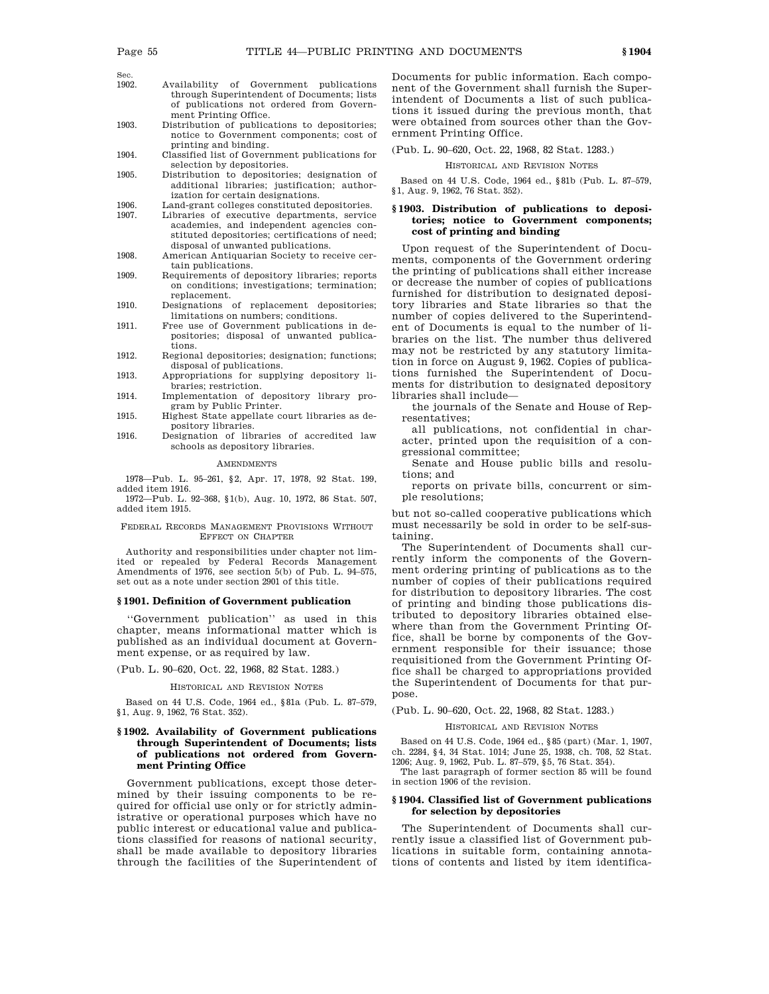Sec.

- 1902. Availability of Government publications through Superintendent of Documents; lists of publications not ordered from Government Printing Office.
- 1903. Distribution of publications to depositories; notice to Government components; cost of printing and binding.

1904. Classified list of Government publications for selection by depositories.

- 1905. Distribution to depositories; designation of additional libraries; justification; authorization for certain designations.
- 1906. Land-grant colleges constituted depositories.<br>1907. Libraries of executive departments, service
- Libraries of executive departments, service academies, and independent agencies constituted depositories; certifications of need; disposal of unwanted publications.
- 1908. American Antiquarian Society to receive certain publications.
- 1909. Requirements of depository libraries; reports on conditions; investigations; termination; replacement.
- 1910. Designations of replacement depositories; limitations on numbers; conditions.
- 1911. Free use of Government publications in depositories; disposal of unwanted publications.
- 1912. Regional depositories; designation; functions; disposal of publications.
- 1913. Appropriations for supplying depository libraries; restriction.
- 1914. Implementation of depository library program by Public Printer.
- 1915. Highest State appellate court libraries as depository libraries.
- 1916. Designation of libraries of accredited law schools as depository libraries.

#### AMENDMENTS

1978—Pub. L. 95–261, §2, Apr. 17, 1978, 92 Stat. 199, added item 1916.

1972—Pub. L. 92–368, §1(b), Aug. 10, 1972, 86 Stat. 507, added item 1915.

FEDERAL RECORDS MANAGEMENT PROVISIONS WITHOUT EFFECT ON CHAPTER

Authority and responsibilities under chapter not limited or repealed by Federal Records Management Amendments of 1976, see section 5(b) of Pub. L. 94–575, set out as a note under section 2901 of this title.

## **§ 1901. Definition of Government publication**

''Government publication'' as used in this chapter, means informational matter which is published as an individual document at Government expense, or as required by law.

## (Pub. L. 90–620, Oct. 22, 1968, 82 Stat. 1283.)

#### HISTORICAL AND REVISION NOTES

Based on 44 U.S. Code, 1964 ed., §81a (Pub. L. 87–579, §1, Aug. 9, 1962, 76 Stat. 352).

# **§ 1902. Availability of Government publications through Superintendent of Documents; lists of publications not ordered from Government Printing Office**

Government publications, except those determined by their issuing components to be required for official use only or for strictly administrative or operational purposes which have no public interest or educational value and publications classified for reasons of national security, shall be made available to depository libraries through the facilities of the Superintendent of Documents for public information. Each component of the Government shall furnish the Superintendent of Documents a list of such publications it issued during the previous month, that were obtained from sources other than the Government Printing Office.

(Pub. L. 90–620, Oct. 22, 1968, 82 Stat. 1283.)

#### HISTORICAL AND REVISION NOTES

Based on 44 U.S. Code, 1964 ed., §81b (Pub. L. 87–579, §1, Aug. 9, 1962, 76 Stat. 352).

# **§ 1903. Distribution of publications to depositories; notice to Government components; cost of printing and binding**

Upon request of the Superintendent of Documents, components of the Government ordering the printing of publications shall either increase or decrease the number of copies of publications furnished for distribution to designated depository libraries and State libraries so that the number of copies delivered to the Superintendent of Documents is equal to the number of libraries on the list. The number thus delivered may not be restricted by any statutory limitation in force on August 9, 1962. Copies of publications furnished the Superintendent of Documents for distribution to designated depository libraries shall include—

the journals of the Senate and House of Representatives;

all publications, not confidential in character, printed upon the requisition of a congressional committee;

Senate and House public bills and resolutions; and

reports on private bills, concurrent or simple resolutions;

but not so-called cooperative publications which must necessarily be sold in order to be self-sustaining.

The Superintendent of Documents shall currently inform the components of the Government ordering printing of publications as to the number of copies of their publications required for distribution to depository libraries. The cost of printing and binding those publications distributed to depository libraries obtained elsewhere than from the Government Printing Office, shall be borne by components of the Government responsible for their issuance; those requisitioned from the Government Printing Office shall be charged to appropriations provided the Superintendent of Documents for that purpose.

(Pub. L. 90–620, Oct. 22, 1968, 82 Stat. 1283.)

# HISTORICAL AND REVISION NOTES

Based on 44 U.S. Code, 1964 ed., §85 (part) (Mar. 1, 1907, ch. 2284, §4, 34 Stat. 1014; June 25, 1938, ch. 708, 52 Stat. 1206; Aug. 9, 1962, Pub. L. 87–579, §5, 76 Stat. 354).

The last paragraph of former section 85 will be found in section 1906 of the revision.

# **§ 1904. Classified list of Government publications for selection by depositories**

The Superintendent of Documents shall currently issue a classified list of Government publications in suitable form, containing annotations of contents and listed by item identifica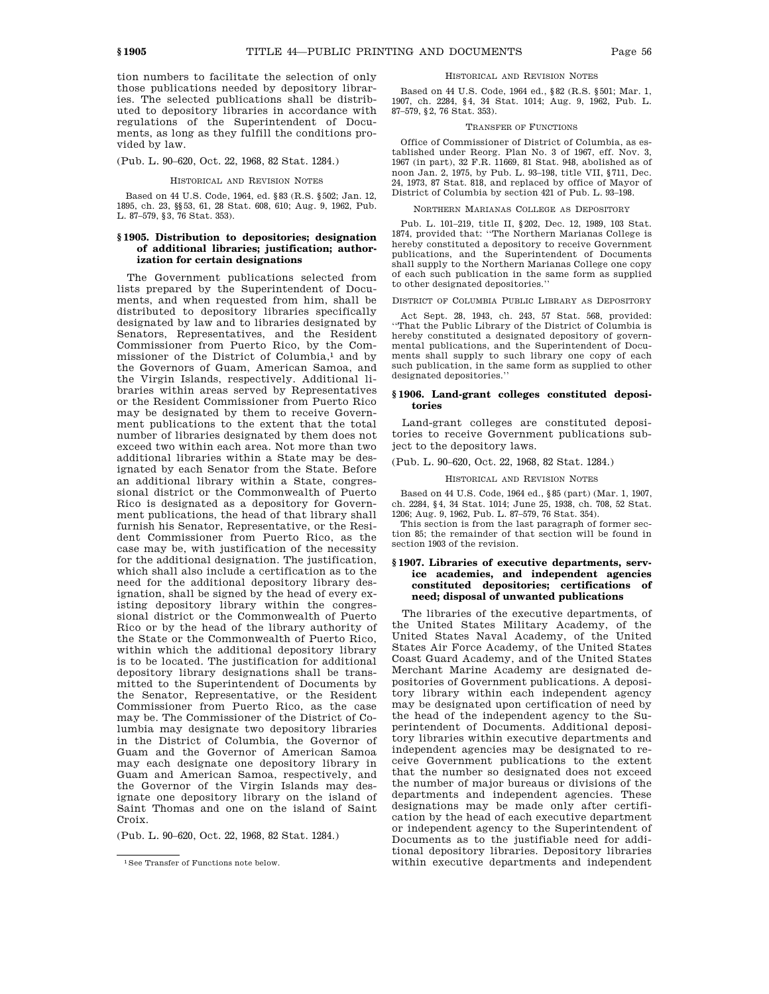tion numbers to facilitate the selection of only those publications needed by depository libraries. The selected publications shall be distributed to depository libraries in accordance with regulations of the Superintendent of Documents, as long as they fulfill the conditions provided by law.

#### (Pub. L. 90–620, Oct. 22, 1968, 82 Stat. 1284.)

#### HISTORICAL AND REVISION NOTES

Based on 44 U.S. Code, 1964, ed. §83 (R.S. §502; Jan. 12, 1895, ch. 23, §§53, 61, 28 Stat. 608, 610; Aug. 9, 1962, Pub. L. 87–579, §3, 76 Stat. 353).

# **§ 1905. Distribution to depositories; designation of additional libraries; justification; authorization for certain designations**

The Government publications selected from lists prepared by the Superintendent of Documents, and when requested from him, shall be distributed to depository libraries specifically designated by law and to libraries designated by Senators, Representatives, and the Resident Commissioner from Puerto Rico, by the Commissioner of the District of Columbia,1 and by the Governors of Guam, American Samoa, and the Virgin Islands, respectively. Additional libraries within areas served by Representatives or the Resident Commissioner from Puerto Rico may be designated by them to receive Government publications to the extent that the total number of libraries designated by them does not exceed two within each area. Not more than two additional libraries within a State may be designated by each Senator from the State. Before an additional library within a State, congressional district or the Commonwealth of Puerto Rico is designated as a depository for Government publications, the head of that library shall furnish his Senator, Representative, or the Resident Commissioner from Puerto Rico, as the case may be, with justification of the necessity for the additional designation. The justification, which shall also include a certification as to the need for the additional depository library designation, shall be signed by the head of every existing depository library within the congressional district or the Commonwealth of Puerto Rico or by the head of the library authority of the State or the Commonwealth of Puerto Rico, within which the additional depository library is to be located. The justification for additional depository library designations shall be transmitted to the Superintendent of Documents by the Senator, Representative, or the Resident Commissioner from Puerto Rico, as the case may be. The Commissioner of the District of Columbia may designate two depository libraries in the District of Columbia, the Governor of Guam and the Governor of American Samoa may each designate one depository library in Guam and American Samoa, respectively, and the Governor of the Virgin Islands may designate one depository library on the island of Saint Thomas and one on the island of Saint Croix.

(Pub. L. 90–620, Oct. 22, 1968, 82 Stat. 1284.)

#### HISTORICAL AND REVISION NOTES

Based on 44 U.S. Code, 1964 ed., §82 (R.S. §501; Mar. 1, 1907, ch. 2284, §4, 34 Stat. 1014; Aug. 9, 1962, Pub. L. 87–579, §2, 76 Stat. 353).

#### TRANSFER OF FUNCTIONS

Office of Commissioner of District of Columbia, as established under Reorg. Plan No. 3 of 1967, eff. Nov. 3, 1967 (in part), 32 F.R. 11669, 81 Stat. 948, abolished as of noon Jan. 2, 1975, by Pub. L. 93–198, title VII, §711, Dec. 24, 1973, 87 Stat. 818, and replaced by office of Mayor of District of Columbia by section 421 of Pub. L. 93–198.

## NORTHERN MARIANAS COLLEGE AS DEPOSITORY

Pub. L. 101–219, title II, §202, Dec. 12, 1989, 103 Stat. 1874, provided that: ''The Northern Marianas College is hereby constituted a depository to receive Government publications, and the Superintendent of Documents shall supply to the Northern Marianas College one copy of each such publication in the same form as supplied to other designated depositories.''

#### DISTRICT OF COLUMBIA PUBLIC LIBRARY AS DEPOSITORY

Act Sept. 28, 1943, ch. 243, 57 Stat. 568, provided: ''That the Public Library of the District of Columbia is hereby constituted a designated depository of governmental publications, and the Superintendent of Documents shall supply to such library one copy of each such publication, in the same form as supplied to other designated depositories.''

# **§ 1906. Land-grant colleges constituted depositories**

Land-grant colleges are constituted depositories to receive Government publications subject to the depository laws.

(Pub. L. 90–620, Oct. 22, 1968, 82 Stat. 1284.)

#### HISTORICAL AND REVISION NOTES

Based on 44 U.S. Code, 1964 ed., §85 (part) (Mar. 1, 1907, ch. 2284, §4, 34 Stat. 1014; June 25, 1938, ch. 708, 52 Stat. 1206; Aug. 9, 1962, Pub. L. 87–579, 76 Stat. 354).

This section is from the last paragraph of former section 85; the remainder of that section will be found in section 1903 of the revision.

# **§ 1907. Libraries of executive departments, service academies, and independent agencies constituted depositories; certifications of need; disposal of unwanted publications**

The libraries of the executive departments, of the United States Military Academy, of the United States Naval Academy, of the United States Air Force Academy, of the United States Coast Guard Academy, and of the United States Merchant Marine Academy are designated depositories of Government publications. A depository library within each independent agency may be designated upon certification of need by the head of the independent agency to the Superintendent of Documents. Additional depository libraries within executive departments and independent agencies may be designated to receive Government publications to the extent that the number so designated does not exceed the number of major bureaus or divisions of the departments and independent agencies. These designations may be made only after certification by the head of each executive department or independent agency to the Superintendent of Documents as to the justifiable need for additional depository libraries. Depository libraries within executive departments and independent

<sup>1</sup>See Transfer of Functions note below.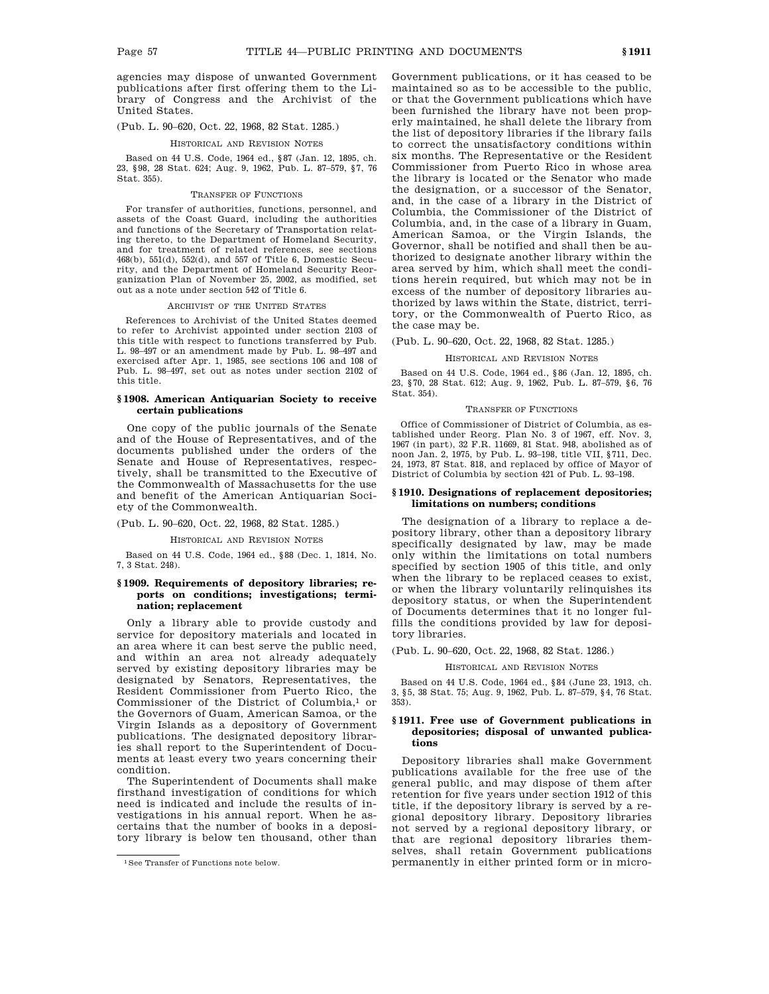agencies may dispose of unwanted Government publications after first offering them to the Library of Congress and the Archivist of the United States.

(Pub. L. 90–620, Oct. 22, 1968, 82 Stat. 1285.)

# HISTORICAL AND REVISION NOTES

Based on 44 U.S. Code, 1964 ed., §87 (Jan. 12, 1895, ch. 23, §98, 28 Stat. 624; Aug. 9, 1962, Pub. L. 87–579, §7, 76 Stat. 355).

# TRANSFER OF FUNCTIONS

For transfer of authorities, functions, personnel, and assets of the Coast Guard, including the authorities and functions of the Secretary of Transportation relating thereto, to the Department of Homeland Security, and for treatment of related references, see sections 468(b), 551(d), 552(d), and 557 of Title 6, Domestic Security, and the Department of Homeland Security Reorganization Plan of November 25, 2002, as modified, set out as a note under section 542 of Title 6.

# ARCHIVIST OF THE UNITED STATES

References to Archivist of the United States deemed to refer to Archivist appointed under section 2103 of this title with respect to functions transferred by Pub. L. 98–497 or an amendment made by Pub. L. 98–497 and exercised after Apr. 1, 1985, see sections 106 and 108 of Pub. L. 98–497, set out as notes under section 2102 of this title.

## **§ 1908. American Antiquarian Society to receive certain publications**

One copy of the public journals of the Senate and of the House of Representatives, and of the documents published under the orders of the Senate and House of Representatives, respectively, shall be transmitted to the Executive of the Commonwealth of Massachusetts for the use and benefit of the American Antiquarian Society of the Commonwealth.

(Pub. L. 90–620, Oct. 22, 1968, 82 Stat. 1285.)

## HISTORICAL AND REVISION NOTES

Based on 44 U.S. Code, 1964 ed., §88 (Dec. 1, 1814, No. 7, 3 Stat. 248).

# **§ 1909. Requirements of depository libraries; reports on conditions; investigations; termination; replacement**

Only a library able to provide custody and service for depository materials and located in an area where it can best serve the public need, and within an area not already adequately served by existing depository libraries may be designated by Senators, Representatives, the Resident Commissioner from Puerto Rico, the Commissioner of the District of Columbia,1 or the Governors of Guam, American Samoa, or the Virgin Islands as a depository of Government publications. The designated depository libraries shall report to the Superintendent of Documents at least every two years concerning their condition.

The Superintendent of Documents shall make firsthand investigation of conditions for which need is indicated and include the results of investigations in his annual report. When he ascertains that the number of books in a depository library is below ten thousand, other than Government publications, or it has ceased to be maintained so as to be accessible to the public, or that the Government publications which have been furnished the library have not been properly maintained, he shall delete the library from the list of depository libraries if the library fails to correct the unsatisfactory conditions within six months. The Representative or the Resident Commissioner from Puerto Rico in whose area the library is located or the Senator who made the designation, or a successor of the Senator, and, in the case of a library in the District of Columbia, the Commissioner of the District of Columbia, and, in the case of a library in Guam, American Samoa, or the Virgin Islands, the Governor, shall be notified and shall then be authorized to designate another library within the area served by him, which shall meet the conditions herein required, but which may not be in excess of the number of depository libraries authorized by laws within the State, district, territory, or the Commonwealth of Puerto Rico, as the case may be.

# (Pub. L. 90–620, Oct. 22, 1968, 82 Stat. 1285.)

## HISTORICAL AND REVISION NOTES

Based on 44 U.S. Code, 1964 ed., §86 (Jan. 12, 1895, ch. 23, §70, 28 Stat. 612; Aug. 9, 1962, Pub. L. 87–579, §6, 76 Stat. 354).

#### TRANSFER OF FUNCTIONS

Office of Commissioner of District of Columbia, as established under Reorg. Plan No. 3 of 1967, eff. Nov. 3, 1967 (in part), 32 F.R. 11669, 81 Stat. 948, abolished as of noon Jan. 2, 1975, by Pub. L. 93–198, title VII, §711, Dec. 24, 1973, 87 Stat. 818, and replaced by office of Mayor of District of Columbia by section 421 of Pub. L. 93–198.

#### **§ 1910. Designations of replacement depositories; limitations on numbers; conditions**

The designation of a library to replace a depository library, other than a depository library specifically designated by law, may be made only within the limitations on total numbers specified by section 1905 of this title, and only when the library to be replaced ceases to exist, or when the library voluntarily relinquishes its depository status, or when the Superintendent of Documents determines that it no longer fulfills the conditions provided by law for depository libraries.

(Pub. L. 90–620, Oct. 22, 1968, 82 Stat. 1286.)

#### HISTORICAL AND REVISION NOTES

Based on 44 U.S. Code, 1964 ed., §84 (June 23, 1913, ch. 3, §5, 38 Stat. 75; Aug. 9, 1962, Pub. L. 87–579, §4, 76 Stat. 353).

## **§ 1911. Free use of Government publications in depositories; disposal of unwanted publications**

Depository libraries shall make Government publications available for the free use of the general public, and may dispose of them after retention for five years under section 1912 of this title, if the depository library is served by a regional depository library. Depository libraries not served by a regional depository library, or that are regional depository libraries themselves, shall retain Government publications permanently in either printed form or in micro-

<sup>1</sup>See Transfer of Functions note below.